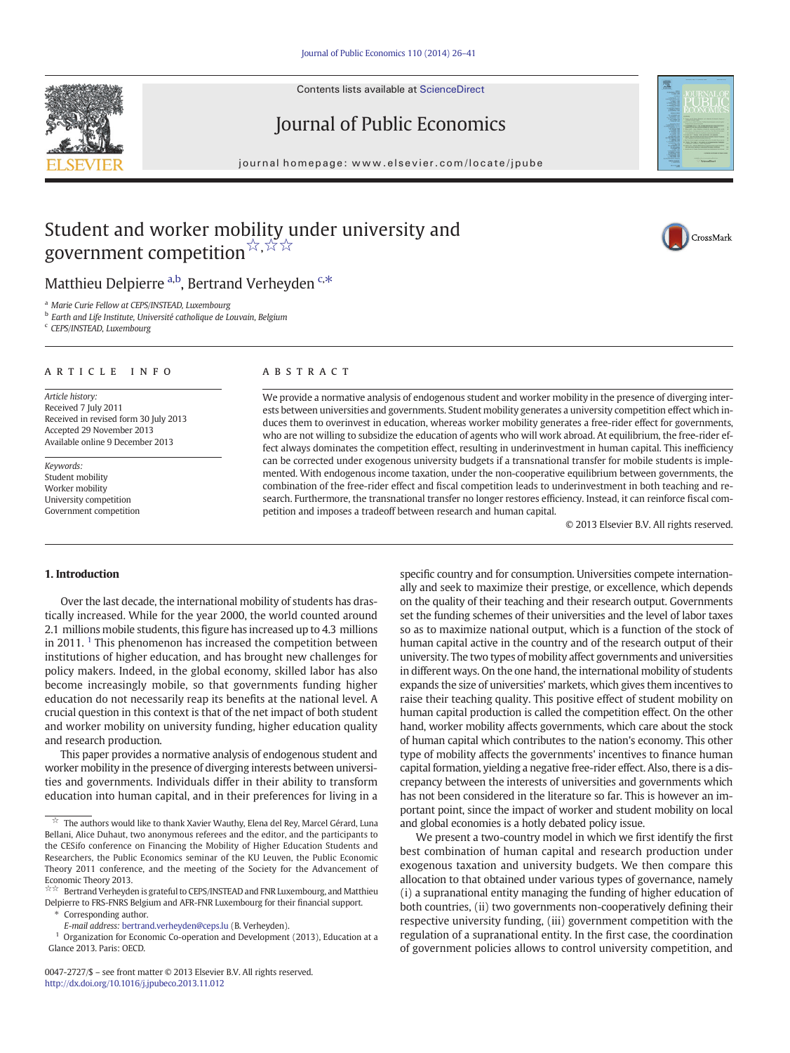Contents lists available at ScienceDirect





## Journal of Public Economics

journal homepage: www.elsevier.com/locate/jpube

# Student and worker mobility under university and government competition☆,☆☆☆



## Matthieu Delpierre <sup>a,b</sup>, Bertrand Verheyden <sup>c,\*</sup>

<sup>a</sup> Marie Curie Fellow at CEPS/INSTEAD, Luxembourg

<sup>b</sup> Earth and Life Institute, Université catholique de Louvain, Belgium

<sup>c</sup> CEPS/INSTEAD, Luxembourg

### ARTICLE INFO ABSTRACT

Article history: Received 7 July 2011 Received in revised form 30 July 2013 Accepted 29 November 2013 Available online 9 December 2013

Keywords: Student mobility Worker mobility University competition Government competition

We provide a normative analysis of endogenous student and worker mobility in the presence of diverging interests between universities and governments. Student mobility generates a university competition effect which induces them to overinvest in education, whereas worker mobility generates a free-rider effect for governments, who are not willing to subsidize the education of agents who will work abroad. At equilibrium, the free-rider effect always dominates the competition effect, resulting in underinvestment in human capital. This inefficiency can be corrected under exogenous university budgets if a transnational transfer for mobile students is implemented. With endogenous income taxation, under the non-cooperative equilibrium between governments, the combination of the free-rider effect and fiscal competition leads to underinvestment in both teaching and research. Furthermore, the transnational transfer no longer restores efficiency. Instead, it can reinforce fiscal competition and imposes a tradeoff between research and human capital.

© 2013 Elsevier B.V. All rights reserved.

## 1. Introduction

Over the last decade, the international mobility of students has drastically increased. While for the year 2000, the world counted around 2.1 millions mobile students, this figure has increased up to 4.3 millions in 2011. <sup>1</sup> This phenomenon has increased the competition between institutions of higher education, and has brought new challenges for policy makers. Indeed, in the global economy, skilled labor has also become increasingly mobile, so that governments funding higher education do not necessarily reap its benefits at the national level. A crucial question in this context is that of the net impact of both student and worker mobility on university funding, higher education quality and research production.

This paper provides a normative analysis of endogenous student and worker mobility in the presence of diverging interests between universities and governments. Individuals differ in their ability to transform education into human capital, and in their preferences for living in a

specific country and for consumption. Universities compete internationally and seek to maximize their prestige, or excellence, which depends on the quality of their teaching and their research output. Governments set the funding schemes of their universities and the level of labor taxes so as to maximize national output, which is a function of the stock of human capital active in the country and of the research output of their university. The two types of mobility affect governments and universities in different ways. On the one hand, the international mobility of students expands the size of universities' markets, which gives them incentives to raise their teaching quality. This positive effect of student mobility on human capital production is called the competition effect. On the other hand, worker mobility affects governments, which care about the stock of human capital which contributes to the nation's economy. This other type of mobility affects the governments' incentives to finance human capital formation, yielding a negative free-rider effect. Also, there is a discrepancy between the interests of universities and governments which has not been considered in the literature so far. This is however an important point, since the impact of worker and student mobility on local and global economies is a hotly debated policy issue.

We present a two-country model in which we first identify the first best combination of human capital and research production under exogenous taxation and university budgets. We then compare this allocation to that obtained under various types of governance, namely (i) a supranational entity managing the funding of higher education of both countries, (ii) two governments non-cooperatively defining their respective university funding, (iii) government competition with the regulation of a supranational entity. In the first case, the coordination of government policies allows to control university competition, and

 $\overrightarrow{a}$  The authors would like to thank Xavier Wauthy, Elena del Rey, Marcel Gérard, Luna Bellani, Alice Duhaut, two anonymous referees and the editor, and the participants to the CESifo conference on Financing the Mobility of Higher Education Students and Researchers, the Public Economics seminar of the KU Leuven, the Public Economic Theory 2011 conference, and the meeting of the Society for the Advancement of Economic Theory 2013.

Bertrand Verheyden is grateful to CEPS/INSTEAD and FNR Luxembourg, and Matthieu Delpierre to FRS-FNRS Belgium and AFR-FNR Luxembourg for their financial support.

<sup>⁎</sup> Corresponding author.

E-mail address: [bertrand.verheyden@ceps.lu](mailto:bertrand.verheyden@ceps.lu) (B. Verheyden).

 $1$  Organization for Economic Co-operation and Development (2013), Education at a Glance 2013. Paris: OECD.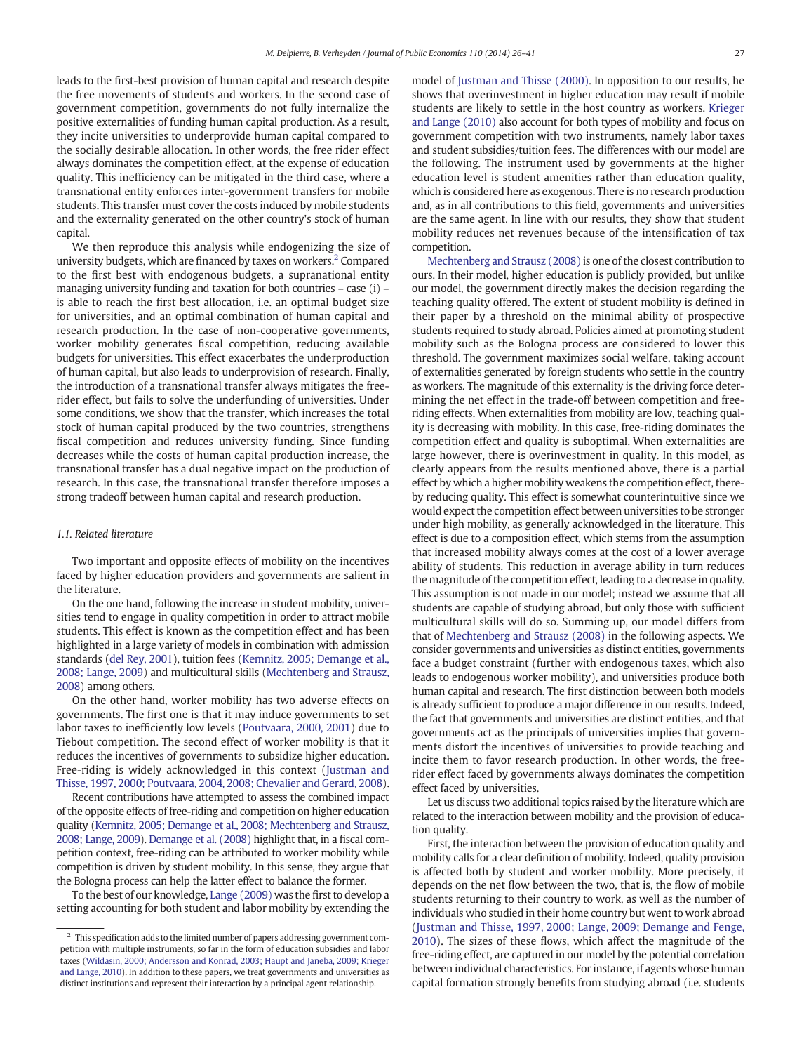leads to the first-best provision of human capital and research despite the free movements of students and workers. In the second case of government competition, governments do not fully internalize the positive externalities of funding human capital production. As a result, they incite universities to underprovide human capital compared to the socially desirable allocation. In other words, the free rider effect always dominates the competition effect, at the expense of education quality. This inefficiency can be mitigated in the third case, where a transnational entity enforces inter-government transfers for mobile students. This transfer must cover the costs induced by mobile students and the externality generated on the other country's stock of human capital.

We then reproduce this analysis while endogenizing the size of university budgets, which are financed by taxes on workers.<sup>2</sup> Compared to the first best with endogenous budgets, a supranational entity managing university funding and taxation for both countries – case (i) – is able to reach the first best allocation, i.e. an optimal budget size for universities, and an optimal combination of human capital and research production. In the case of non-cooperative governments, worker mobility generates fiscal competition, reducing available budgets for universities. This effect exacerbates the underproduction of human capital, but also leads to underprovision of research. Finally, the introduction of a transnational transfer always mitigates the freerider effect, but fails to solve the underfunding of universities. Under some conditions, we show that the transfer, which increases the total stock of human capital produced by the two countries, strengthens fiscal competition and reduces university funding. Since funding decreases while the costs of human capital production increase, the transnational transfer has a dual negative impact on the production of research. In this case, the transnational transfer therefore imposes a strong tradeoff between human capital and research production.

### 1.1. Related literature

Two important and opposite effects of mobility on the incentives faced by higher education providers and governments are salient in the literature.

On the one hand, following the increase in student mobility, universities tend to engage in quality competition in order to attract mobile students. This effect is known as the competition effect and has been highlighted in a large variety of models in combination with admission standards ([del Rey, 2001](#page--1-0)), tuition fees [\(Kemnitz, 2005; Demange et al.,](#page--1-0) [2008; Lange, 2009\)](#page--1-0) and multicultural skills [\(Mechtenberg and Strausz,](#page--1-0) [2008](#page--1-0)) among others.

On the other hand, worker mobility has two adverse effects on governments. The first one is that it may induce governments to set labor taxes to inefficiently low levels [\(Poutvaara, 2000, 2001](#page--1-0)) due to Tiebout competition. The second effect of worker mobility is that it reduces the incentives of governments to subsidize higher education. Free-riding is widely acknowledged in this context [\(Justman and](#page--1-0) [Thisse, 1997, 2000; Poutvaara, 2004, 2008; Chevalier and Gerard, 2008](#page--1-0)).

Recent contributions have attempted to assess the combined impact of the opposite effects of free-riding and competition on higher education quality ([Kemnitz, 2005; Demange et al., 2008; Mechtenberg and Strausz,](#page--1-0) [2008; Lange, 2009\)](#page--1-0). [Demange et al. \(2008\)](#page--1-0) highlight that, in a fiscal competition context, free-riding can be attributed to worker mobility while competition is driven by student mobility. In this sense, they argue that the Bologna process can help the latter effect to balance the former.

To the best of our knowledge, [Lange \(2009\)](#page--1-0) was the first to develop a setting accounting for both student and labor mobility by extending the model of [Justman and Thisse \(2000\)](#page--1-0). In opposition to our results, he shows that overinvestment in higher education may result if mobile students are likely to settle in the host country as workers. [Krieger](#page--1-0) [and Lange \(2010\)](#page--1-0) also account for both types of mobility and focus on government competition with two instruments, namely labor taxes and student subsidies/tuition fees. The differences with our model are the following. The instrument used by governments at the higher education level is student amenities rather than education quality, which is considered here as exogenous. There is no research production and, as in all contributions to this field, governments and universities are the same agent. In line with our results, they show that student mobility reduces net revenues because of the intensification of tax competition.

[Mechtenberg and Strausz \(2008\)](#page--1-0) is one of the closest contribution to ours. In their model, higher education is publicly provided, but unlike our model, the government directly makes the decision regarding the teaching quality offered. The extent of student mobility is defined in their paper by a threshold on the minimal ability of prospective students required to study abroad. Policies aimed at promoting student mobility such as the Bologna process are considered to lower this threshold. The government maximizes social welfare, taking account of externalities generated by foreign students who settle in the country as workers. The magnitude of this externality is the driving force determining the net effect in the trade-off between competition and freeriding effects. When externalities from mobility are low, teaching quality is decreasing with mobility. In this case, free-riding dominates the competition effect and quality is suboptimal. When externalities are large however, there is overinvestment in quality. In this model, as clearly appears from the results mentioned above, there is a partial effect by which a higher mobility weakens the competition effect, thereby reducing quality. This effect is somewhat counterintuitive since we would expect the competition effect between universities to be stronger under high mobility, as generally acknowledged in the literature. This effect is due to a composition effect, which stems from the assumption that increased mobility always comes at the cost of a lower average ability of students. This reduction in average ability in turn reduces the magnitude of the competition effect, leading to a decrease in quality. This assumption is not made in our model; instead we assume that all students are capable of studying abroad, but only those with sufficient multicultural skills will do so. Summing up, our model differs from that of [Mechtenberg and Strausz \(2008\)](#page--1-0) in the following aspects. We consider governments and universities as distinct entities, governments face a budget constraint (further with endogenous taxes, which also leads to endogenous worker mobility), and universities produce both human capital and research. The first distinction between both models is already sufficient to produce a major difference in our results. Indeed, the fact that governments and universities are distinct entities, and that governments act as the principals of universities implies that governments distort the incentives of universities to provide teaching and incite them to favor research production. In other words, the freerider effect faced by governments always dominates the competition effect faced by universities.

Let us discuss two additional topics raised by the literature which are related to the interaction between mobility and the provision of education quality.

First, the interaction between the provision of education quality and mobility calls for a clear definition of mobility. Indeed, quality provision is affected both by student and worker mobility. More precisely, it depends on the net flow between the two, that is, the flow of mobile students returning to their country to work, as well as the number of individuals who studied in their home country but went to work abroad [\(Justman and Thisse, 1997, 2000; Lange, 2009; Demange and Fenge,](#page--1-0) [2010\)](#page--1-0). The sizes of these flows, which affect the magnitude of the free-riding effect, are captured in our model by the potential correlation between individual characteristics. For instance, if agents whose human capital formation strongly benefits from studying abroad (i.e. students

 $2\degree$  This specification adds to the limited number of papers addressing government competition with multiple instruments, so far in the form of education subsidies and labor taxes [\(Wildasin, 2000; Andersson and Konrad, 2003; Haupt and Janeba, 2009; Krieger](#page--1-0) [and Lange, 2010\)](#page--1-0). In addition to these papers, we treat governments and universities as distinct institutions and represent their interaction by a principal agent relationship.